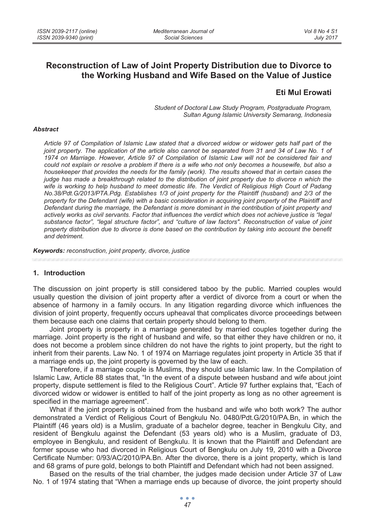# **Reconstruction of Law of Joint Property Distribution due to Divorce to the Working Husband and Wife Based on the Value of Justice**

## **Eti Mul Erowati**

*Student of Doctoral Law Study Program, Postgraduate Program, Sultan Agung Islamic University Semarang, Indonesia* 

#### *Abstract*

*Article 97 of Compilation of Islamic Law stated that a divorced widow or widower gets half part of the joint property. The application of the article also cannot be separated from 31 and 34 of Law No. 1 of 1974 on Marriage. However, Article 97 of Compilation of Islamic Law will not be considered fair and could not explain or resolve a problem if there is a wife who not only becomes a housewife, but also a housekeeper that provides the needs for the family (work). The results showed that in certain cases the judge has made a breakthrough related to the distribution of joint property due to divorce n which the wife is working to help husband to meet domestic life. The Verdict of Religious High Court of Padang No.38/Pdt.G/2013/PTA.Pdg. Establishes 1/3 of joint property for the Plaintiff (husband) and 2/3 of the property for the Defendant (wife) with a basic consideration in acquiring joint property of the Plaintiff and Defendant during the marriage, the Defendant is more dominant in the contribution of joint property and actively works as civil servants. Factor that influences the verdict which does not achieve justice is "legal substance factor", "legal structure factor", and "culture of law factors". Reconstruction of value of joint property distribution due to divorce is done based on the contribution by taking into account the benefit and detriment.* 

*Keywords: reconstruction, joint property, divorce, justice* 

#### **1. Introduction**

The discussion on joint property is still considered taboo by the public. Married couples would usually question the division of joint property after a verdict of divorce from a court or when the absence of harmony in a family occurs. In any litigation regarding divorce which influences the division of joint property, frequently occurs upheaval that complicates divorce proceedings between them because each one claims that certain property should belong to them.

Joint property is property in a marriage generated by married couples together during the marriage. Joint property is the right of husband and wife, so that either they have children or no, it does not become a problem since children do not have the rights to joint property, but the right to inherit from their parents. Law No. 1 of 1974 on Marriage regulates joint property in Article 35 that if a marriage ends up, the joint property is governed by the law of each.

Therefore, if a marriage couple is Muslims, they should use Islamic law. In the Compilation of Islamic Law, Article 88 states that, "In the event of a dispute between husband and wife about joint property, dispute settlement is filed to the Religious Court". Article 97 further explains that, "Each of divorced widow or widower is entitled to half of the joint property as long as no other agreement is specified in the marriage agreement".

What if the joint property is obtained from the husband and wife who both work? The author demonstrated a Verdict of Religious Court of Bengkulu No. 0480/Pdt.G/2010/PA.Bn, in which the Plaintiff (46 years old) is a Muslim, graduate of a bachelor degree, teacher in Bengkulu City, and resident of Bengkulu against the Defendant (53 years old) who is a Muslim, graduate of D3, employee in Bengkulu, and resident of Bengkulu. It is known that the Plaintiff and Defendant are former spouse who had divorced in Religious Court of Bengkulu on July 19, 2010 with a Divorce Certificate Number: 0/93/AC/2010/PA.Bn. After the divorce, there is a joint property, which is land and 68 grams of pure gold, belongs to both Plaintiff and Defendant which had not been assigned.

Based on the results of the trial chamber, the judges made decision under Article 37 of Law No. 1 of 1974 stating that "When a marriage ends up because of divorce, the joint property should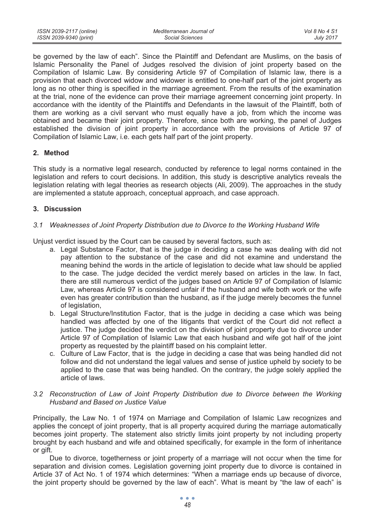| ISSN 2039-2117 (online) | Mediterranean Journal of | Vol 8 No 4 S1    |
|-------------------------|--------------------------|------------------|
| ISSN 2039-9340 (print)  | Social Sciences          | <b>July 2017</b> |

be governed by the law of each". Since the Plaintiff and Defendant are Muslims, on the basis of Islamic Personality the Panel of Judges resolved the division of joint property based on the Compilation of Islamic Law. By considering Article 97 of Compilation of Islamic law, there is a provision that each divorced widow and widower is entitled to one-half part of the joint property as long as no other thing is specified in the marriage agreement. From the results of the examination at the trial, none of the evidence can prove their marriage agreement concerning joint property. In accordance with the identity of the Plaintiffs and Defendants in the lawsuit of the Plaintiff, both of them are working as a civil servant who must equally have a job, from which the income was obtained and became their joint property. Therefore, since both are working, the panel of Judges established the division of joint property in accordance with the provisions of Article 97 of Compilation of Islamic Law, i.e. each gets half part of the joint property.

### **2. Method**

This study is a normative legal research, conducted by reference to legal norms contained in the legislation and refers to court decisions. In addition, this study is descriptive analytics reveals the legislation relating with legal theories as research objects (Ali, 2009). The approaches in the study are implemented a statute approach, conceptual approach, and case approach.

#### **3. Discussion**

#### *3.1 Weaknesses of Joint Property Distribution due to Divorce to the Working Husband Wife*

Unjust verdict issued by the Court can be caused by several factors, such as:

- a. Legal Substance Factor, that is the judge in deciding a case he was dealing with did not pay attention to the substance of the case and did not examine and understand the meaning behind the words in the article of legislation to decide what law should be applied to the case. The judge decided the verdict merely based on articles in the law. In fact, there are still numerous verdict of the judges based on Article 97 of Compilation of Islamic Law, whereas Article 97 is considered unfair if the husband and wife both work or the wife even has greater contribution than the husband, as if the judge merely becomes the funnel of legislation,
- b. Legal Structure/Institution Factor, that is the judge in deciding a case which was being handled was affected by one of the litigants that verdict of the Court did not reflect a justice. The judge decided the verdict on the division of joint property due to divorce under Article 97 of Compilation of Islamic Law that each husband and wife got half of the joint property as requested by the plaintiff based on his complaint letter.
- c. Culture of Law Factor, that is the judge in deciding a case that was being handled did not follow and did not understand the legal values and sense of justice upheld by society to be applied to the case that was being handled. On the contrary, the judge solely applied the article of laws.

#### *3.2 Reconstruction of Law of Joint Property Distribution due to Divorce between the Working Husband and Based on Justice Value*

Principally, the Law No. 1 of 1974 on Marriage and Compilation of Islamic Law recognizes and applies the concept of joint property, that is all property acquired during the marriage automatically becomes joint property. The statement also strictly limits joint property by not including property brought by each husband and wife and obtained specifically, for example in the form of inheritance or gift.

Due to divorce, togetherness or joint property of a marriage will not occur when the time for separation and division comes. Legislation governing joint property due to divorce is contained in Article 37 of Act No. 1 of 1974 which determines: "When a marriage ends up because of divorce, the joint property should be governed by the law of each". What is meant by "the law of each" is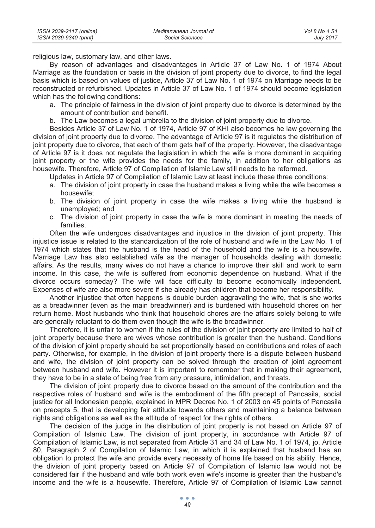| ISSN 2039-2117 (online) | Mediterranean Journal of | Vol 8 No 4 S1    |
|-------------------------|--------------------------|------------------|
| ISSN 2039-9340 (print)  | Social Sciences          | <b>July 2017</b> |

religious law, customary law, and other laws.

By reason of advantages and disadvantages in Article 37 of Law No. 1 of 1974 About Marriage as the foundation or basis in the division of joint property due to divorce, to find the legal basis which is based on values of justice, Article 37 of Law No. 1 of 1974 on Marriage needs to be reconstructed or refurbished. Updates in Article 37 of Law No. 1 of 1974 should become legislation which has the following conditions:

- a. The principle of fairness in the division of joint property due to divorce is determined by the amount of contribution and benefit.
- b. The Law becomes a legal umbrella to the division of joint property due to divorce.

Besides Article 37 of Law No. 1 of 1974, Article 97 of KHI also becomes he law governing the division of joint property due to divorce. The advantage of Article 97 is it regulates the distribution of joint property due to divorce, that each of them gets half of the property. However, the disadvantage of Article 97 is it does not regulate the legislation in which the wife is more dominant in acquiring joint property or the wife provides the needs for the family, in addition to her obligations as housewife. Therefore, Article 97 of Compilation of Islamic Law still needs to be reformed.

Updates in Article 97 of Compilation of Islamic Law at least include these three conditions:

- a. The division of joint property in case the husband makes a living while the wife becomes a housewife;
- b. The division of joint property in case the wife makes a living while the husband is unemployed; and
- c. The division of joint property in case the wife is more dominant in meeting the needs of families.

Often the wife undergoes disadvantages and injustice in the division of joint property. This injustice issue is related to the standardization of the role of husband and wife in the Law No. 1 of 1974 which states that the husband is the head of the household and the wife is a housewife. Marriage Law has also established wife as the manager of households dealing with domestic affairs. As the results, many wives do not have a chance to improve their skill and work to earn income. In this case, the wife is suffered from economic dependence on husband. What if the divorce occurs someday? The wife will face difficulty to become economically independent. Expenses of wife are also more severe if she already has children that become her responsibility.

Another injustice that often happens is double burden aggravating the wife, that is she works as a breadwinner (even as the main breadwinner) and is burdened with household chores on her return home. Most husbands who think that household chores are the affairs solely belong to wife are generally reluctant to do them even though the wife is the breadwinner.

Therefore, it is unfair to women if the rules of the division of joint property are limited to half of joint property because there are wives whose contribution is greater than the husband. Conditions of the division of joint property should be set proportionally based on contributions and roles of each party. Otherwise, for example, in the division of joint property there is a dispute between husband and wife, the division of joint property can be solved through the creation of joint agreement between husband and wife. However it is important to remember that in making their agreement, they have to be in a state of being free from any pressure, intimidation, and threats.

The division of joint property due to divorce based on the amount of the contribution and the respective roles of husband and wife is the embodiment of the fifth precept of Pancasila, social justice for all Indonesian people, explained in MPR Decree No. 1 of 2003 on 45 points of Pancasila on precepts 5, that is developing fair attitude towards others and maintaining a balance between rights and obligations as well as the attitude of respect for the rights of others.

The decision of the judge in the distribution of joint property is not based on Article 97 of Compilation of Islamic Law. The division of joint property, in accordance with Article 97 of Compilation of Islamic Law, is not separated from Article 31 and 34 of Law No. 1 of 1974, jo. Article 80, Paragraph 2 of Compilation of Islamic Law, in which it is explained that husband has an obligation to protect the wife and provide every necessity of home life based on his ability. Hence, the division of joint property based on Article 97 of Compilation of Islamic law would not be considered fair if the husband and wife both work even wife's income is greater than the husband's income and the wife is a housewife. Therefore, Article 97 of Compilation of Islamic Law cannot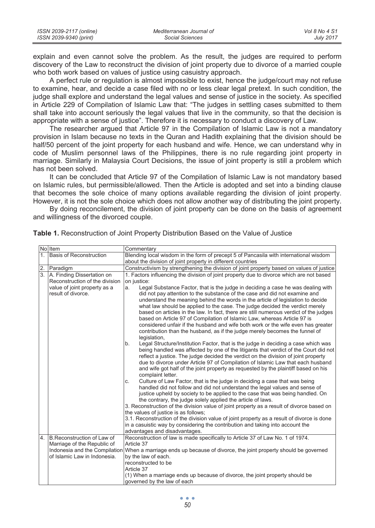| ISSN 2039-2117 (online) | Mediterranean Journal of | Vol 8 No 4 S1    |
|-------------------------|--------------------------|------------------|
| ISSN 2039-9340 (print)  | Social Sciences          | <b>July 2017</b> |

explain and even cannot solve the problem. As the result, the judges are required to perform discovery of the Law to reconstruct the division of joint property due to divorce of a married couple who both work based on values of justice using casuistry approach.

A perfect rule or regulation is almost impossible to exist, hence the judge/court may not refuse to examine, hear, and decide a case filed with no or less clear legal pretext. In such condition, the judge shall explore and understand the legal values and sense of justice in the society. As specified in Article 229 of Compilation of Islamic Law that: "The judges in settling cases submitted to them shall take into account seriously the legal values that live in the community, so that the decision is appropriate with a sense of justice". Therefore it is necessary to conduct a discovery of Law.

The researcher argued that Article 97 in the Compilation of Islamic Law is not a mandatory provision in Islam because no texts in the Quran and Hadith explaining that the division should be half/50 percent of the joint property for each husband and wife. Hence, we can understand why in code of Muslim personnel laws of the Philippines, there is no rule regarding joint property in marriage. Similarly in Malaysia Court Decisions, the issue of joint property is still a problem which has not been solved.

It can be concluded that Article 97 of the Compilation of Islamic Law is not mandatory based on Islamic rules, but permissible/allowed. Then the Article is adopted and set into a binding clause that becomes the sole choice of many options available regarding the division of joint property. However, it is not the sole choice which does not allow another way of distributing the joint property.

By doing reconcilement, the division of joint property can be done on the basis of agreement and willingness of the divorced couple.

|                  | No Item                                            | Commentary                                                                                                                                                                                                                                                                                                                                                                                                                                                                                                                                                                                                                                                                                                                                                                                                                                                                                                                                                                                                                                                                                                                                                     |  |  |
|------------------|----------------------------------------------------|----------------------------------------------------------------------------------------------------------------------------------------------------------------------------------------------------------------------------------------------------------------------------------------------------------------------------------------------------------------------------------------------------------------------------------------------------------------------------------------------------------------------------------------------------------------------------------------------------------------------------------------------------------------------------------------------------------------------------------------------------------------------------------------------------------------------------------------------------------------------------------------------------------------------------------------------------------------------------------------------------------------------------------------------------------------------------------------------------------------------------------------------------------------|--|--|
| 1.               | Basis of Reconstruction                            | Blending local wisdom in the form of precept 5 of Pancasila with international wisdom                                                                                                                                                                                                                                                                                                                                                                                                                                                                                                                                                                                                                                                                                                                                                                                                                                                                                                                                                                                                                                                                          |  |  |
|                  |                                                    | about the division of joint property in different countries                                                                                                                                                                                                                                                                                                                                                                                                                                                                                                                                                                                                                                                                                                                                                                                                                                                                                                                                                                                                                                                                                                    |  |  |
| 2.               | Paradigm                                           | Constructivism by strengthening the division of joint property based on values of justice                                                                                                                                                                                                                                                                                                                                                                                                                                                                                                                                                                                                                                                                                                                                                                                                                                                                                                                                                                                                                                                                      |  |  |
| $\overline{3}$ . | A. Finding Dissertation on                         | 1. Factors influencing the division of joint property due to divorce which are not based                                                                                                                                                                                                                                                                                                                                                                                                                                                                                                                                                                                                                                                                                                                                                                                                                                                                                                                                                                                                                                                                       |  |  |
|                  | Reconstruction of the division                     | on justice:                                                                                                                                                                                                                                                                                                                                                                                                                                                                                                                                                                                                                                                                                                                                                                                                                                                                                                                                                                                                                                                                                                                                                    |  |  |
|                  | value of joint property as a<br>result of divorce. | Legal Substance Factor, that is the judge in deciding a case he was dealing with<br>a.<br>did not pay attention to the substance of the case and did not examine and<br>understand the meaning behind the words in the article of legislation to decide<br>what law should be applied to the case. The judge decided the verdict merely<br>based on articles in the law. In fact, there are still numerous verdict of the judges<br>based on Article 97 of Compilation of Islamic Law, whereas Article 97 is<br>considered unfair if the husband and wife both work or the wife even has greater<br>contribution than the husband, as if the judge merely becomes the funnel of                                                                                                                                                                                                                                                                                                                                                                                                                                                                                |  |  |
|                  |                                                    | legislation,<br>Legal Structure/Institution Factor, that is the judge in deciding a case which was<br>b.<br>being handled was affected by one of the litigants that verdict of the Court did not<br>reflect a justice. The judge decided the verdict on the division of joint property<br>due to divorce under Article 97 of Compilation of Islamic Law that each husband<br>and wife got half of the joint property as requested by the plaintiff based on his<br>complaint letter.<br>Culture of Law Factor, that is the judge in deciding a case that was being<br>C.<br>handled did not follow and did not understand the legal values and sense of<br>justice upheld by society to be applied to the case that was being handled. On<br>the contrary, the judge solely applied the article of laws.<br>3. Reconstruction of the division value of joint property as a result of divorce based on<br>the values of justice is as follows;<br>3.1. Reconstruction of the division value of joint property as a result of divorce is done<br>in a casuistic way by considering the contribution and taking into account the<br>advantages and disadvantages. |  |  |
| $\overline{4}$ . | B.Reconstruction of Law of                         | Reconstruction of law is made specifically to Article 37 of Law No. 1 of 1974.                                                                                                                                                                                                                                                                                                                                                                                                                                                                                                                                                                                                                                                                                                                                                                                                                                                                                                                                                                                                                                                                                 |  |  |
|                  | Marriage of the Republic of                        | Article 37                                                                                                                                                                                                                                                                                                                                                                                                                                                                                                                                                                                                                                                                                                                                                                                                                                                                                                                                                                                                                                                                                                                                                     |  |  |
|                  | of Islamic Law in Indonesia.                       | Indonesia and the Compilation When a marriage ends up because of divorce, the joint property should be governed<br>by the law of each.                                                                                                                                                                                                                                                                                                                                                                                                                                                                                                                                                                                                                                                                                                                                                                                                                                                                                                                                                                                                                         |  |  |
|                  |                                                    | reconstructed to be                                                                                                                                                                                                                                                                                                                                                                                                                                                                                                                                                                                                                                                                                                                                                                                                                                                                                                                                                                                                                                                                                                                                            |  |  |
|                  |                                                    | Article 37                                                                                                                                                                                                                                                                                                                                                                                                                                                                                                                                                                                                                                                                                                                                                                                                                                                                                                                                                                                                                                                                                                                                                     |  |  |
|                  |                                                    | (1) When a marriage ends up because of divorce, the joint property should be<br>governed by the law of each                                                                                                                                                                                                                                                                                                                                                                                                                                                                                                                                                                                                                                                                                                                                                                                                                                                                                                                                                                                                                                                    |  |  |

**Table 1.** Reconstruction of Joint Property Distribution Based on the Value of Justice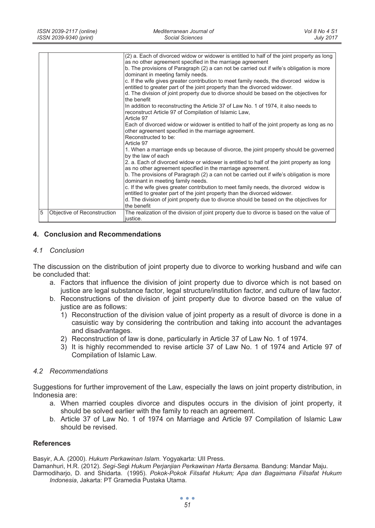| ISSN 2039-2117 (online) | Mediterranean Journal of | Vol 8 No 4 S1    |
|-------------------------|--------------------------|------------------|
| ISSN 2039-9340 (print)  | Social Sciences          | <b>July 2017</b> |

|                |                             | (2) a. Each of divorced widow or widower is entitled to half of the joint property as long<br>as no other agreement specified in the marriage agreement<br>b. The provisions of Paragraph (2) a can not be carried out if wife's obligation is more<br>dominant in meeting family needs.<br>c. If the wife gives greater contribution to meet family needs, the divorced widow is<br>entitled to greater part of the joint property than the divorced widower.<br>d. The division of joint property due to divorce should be based on the objectives for<br>the benefit<br>In addition to reconstructing the Article 37 of Law No. 1 of 1974, it also needs to<br>reconstruct Article 97 of Compilation of Islamic Law,<br>Article 97<br>Each of divorced widow or widower is entitled to half of the joint property as long as no<br>other agreement specified in the marriage agreement.<br>Reconstructed to be:<br>Article 97<br>1. When a marriage ends up because of divorce, the joint property should be governed<br>by the law of each<br>2. a. Each of divorced widow or widower is entitled to half of the joint property as long<br>as no other agreement specified in the marriage agreement.<br>b. The provisions of Paragraph (2) a can not be carried out if wife's obligation is more<br>dominant in meeting family needs.<br>c. If the wife gives greater contribution to meet family needs, the divorced widow is<br>entitled to greater part of the joint property than the divorced widower.<br>d. The division of joint property due to divorce should be based on the objectives for<br>the benefit |
|----------------|-----------------------------|---------------------------------------------------------------------------------------------------------------------------------------------------------------------------------------------------------------------------------------------------------------------------------------------------------------------------------------------------------------------------------------------------------------------------------------------------------------------------------------------------------------------------------------------------------------------------------------------------------------------------------------------------------------------------------------------------------------------------------------------------------------------------------------------------------------------------------------------------------------------------------------------------------------------------------------------------------------------------------------------------------------------------------------------------------------------------------------------------------------------------------------------------------------------------------------------------------------------------------------------------------------------------------------------------------------------------------------------------------------------------------------------------------------------------------------------------------------------------------------------------------------------------------------------------------------------------------------------------------------------------|
| $\overline{5}$ | Objective of Reconstruction | The realization of the division of joint property due to divorce is based on the value of<br>justice.                                                                                                                                                                                                                                                                                                                                                                                                                                                                                                                                                                                                                                                                                                                                                                                                                                                                                                                                                                                                                                                                                                                                                                                                                                                                                                                                                                                                                                                                                                                     |

#### **4. Conclusion and Recommendations**

#### *4.1 Conclusion*

The discussion on the distribution of joint property due to divorce to working husband and wife can be concluded that:

- a. Factors that influence the division of joint property due to divorce which is not based on justice are legal substance factor, legal structure/institution factor, and culture of law factor.
- b. Reconstructions of the division of joint property due to divorce based on the value of justice are as follows:
	- 1) Reconstruction of the division value of joint property as a result of divorce is done in a casuistic way by considering the contribution and taking into account the advantages and disadvantages.
	- 2) Reconstruction of law is done, particularly in Article 37 of Law No. 1 of 1974.
	- 3) It is highly recommended to revise article 37 of Law No. 1 of 1974 and Article 97 of Compilation of Islamic Law.

#### *4.2 Recommendations*

Suggestions for further improvement of the Law, especially the laws on joint property distribution, in Indonesia are:

- a. When married couples divorce and disputes occurs in the division of joint property, it should be solved earlier with the family to reach an agreement.
- b. Article 37 of Law No. 1 of 1974 on Marriage and Article 97 Compilation of Islamic Law should be revised.

#### **References**

Basyir, A.A. (2000). *Hukum Perkawinan Islam.* Yogyakarta: UII Press.

Damanhuri, H.R. (2012). *Segi-Seg*i *Hukum Perjanjian Perkawinan Harta Bersama.* Bandung: Mandar Maju. Darmodiharjo, D. and Shidarta. (1995). *Pokok-Pokok Filsafat Hukum; Apa dan Bagaimana Filsafat Hukum Indonesia*, Jakarta: PT Gramedia Pustaka Utama.